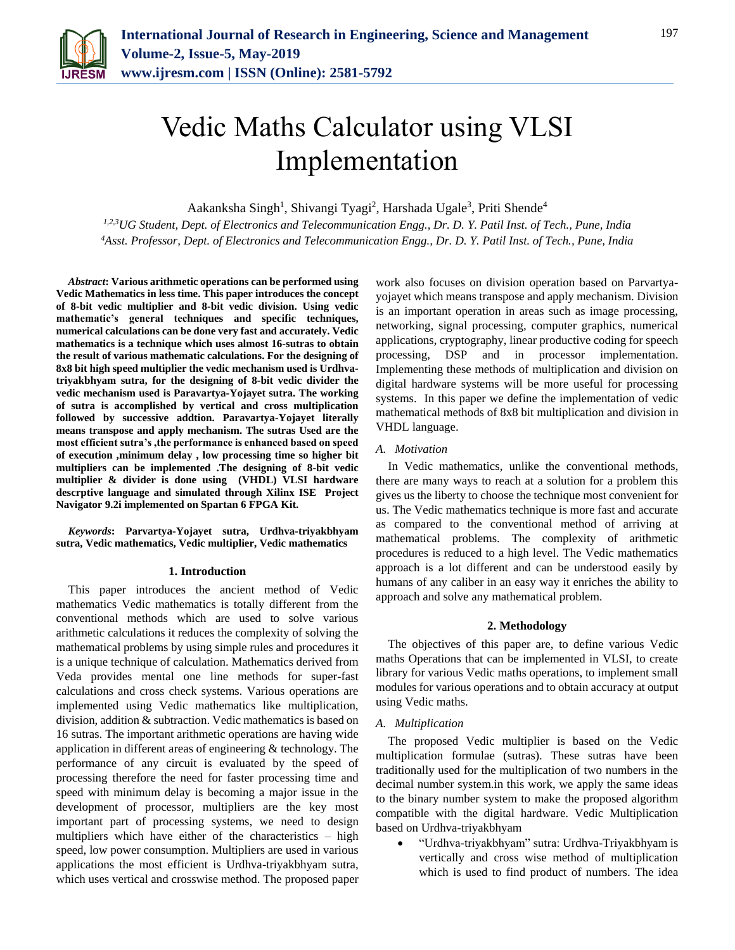

# Vedic Maths Calculator using VLSI Implementation

Aakanksha Singh<sup>1</sup>, Shivangi Tyagi<sup>2</sup>, Harshada Ugale<sup>3</sup>, Priti Shende<sup>4</sup>

*1,2,3UG Student, Dept. of Electronics and Telecommunication Engg., Dr. D. Y. Patil Inst. of Tech., Pune, India <sup>4</sup>Asst. Professor, Dept. of Electronics and Telecommunication Engg., Dr. D. Y. Patil Inst. of Tech., Pune, India*

*Abstract***: Various arithmetic operations can be performed using Vedic Mathematics in less time. This paper introduces the concept of 8-bit vedic multiplier and 8-bit vedic division. Using vedic mathematic's general techniques and specific techniques, numerical calculations can be done very fast and accurately. Vedic mathematics is a technique which uses almost 16-sutras to obtain the result of various mathematic calculations. For the designing of 8x8 bit high speed multiplier the vedic mechanism used is Urdhvatriyakbhyam sutra, for the designing of 8-bit vedic divider the vedic mechanism used is Paravartya-Yojayet sutra. The working of sutra is accomplished by vertical and cross multiplication followed by successive addtion. Paravartya-Yojayet literally means transpose and apply mechanism. The sutras Used are the most efficient sutra's ,the performance is enhanced based on speed of execution ,minimum delay , low processing time so higher bit multipliers can be implemented .The designing of 8-bit vedic multiplier & divider is done using (VHDL) VLSI hardware descrptive language and simulated through Xilinx ISE Project Navigator 9.2i implemented on Spartan 6 FPGA Kit.**

*Keywords***: Parvartya-Yojayet sutra, Urdhva-triyakbhyam sutra, Vedic mathematics, Vedic multiplier, Vedic mathematics** 

## **1. Introduction**

This paper introduces the ancient method of Vedic mathematics Vedic mathematics is totally different from the conventional methods which are used to solve various arithmetic calculations it reduces the complexity of solving the mathematical problems by using simple rules and procedures it is a unique technique of calculation. Mathematics derived from Veda provides mental one line methods for super-fast calculations and cross check systems. Various operations are implemented using Vedic mathematics like multiplication, division, addition & subtraction. Vedic mathematics is based on 16 sutras. The important arithmetic operations are having wide application in different areas of engineering & technology. The performance of any circuit is evaluated by the speed of processing therefore the need for faster processing time and speed with minimum delay is becoming a major issue in the development of processor, multipliers are the key most important part of processing systems, we need to design multipliers which have either of the characteristics – high speed, low power consumption. Multipliers are used in various applications the most efficient is Urdhva-triyakbhyam sutra, which uses vertical and crosswise method. The proposed paper work also focuses on division operation based on Parvartyayojayet which means transpose and apply mechanism. Division is an important operation in areas such as image processing, networking, signal processing, computer graphics, numerical applications, cryptography, linear productive coding for speech processing, DSP and in processor implementation. Implementing these methods of multiplication and division on digital hardware systems will be more useful for processing systems. In this paper we define the implementation of vedic mathematical methods of 8x8 bit multiplication and division in VHDL language.

## *A. Motivation*

In Vedic mathematics, unlike the conventional methods, there are many ways to reach at a solution for a problem this gives us the liberty to choose the technique most convenient for us. The Vedic mathematics technique is more fast and accurate as compared to the conventional method of arriving at mathematical problems. The complexity of arithmetic procedures is reduced to a high level. The Vedic mathematics approach is a lot different and can be understood easily by humans of any caliber in an easy way it enriches the ability to approach and solve any mathematical problem.

## **2. Methodology**

The objectives of this paper are, to define various Vedic maths Operations that can be implemented in VLSI, to create library for various Vedic maths operations, to implement small modules for various operations and to obtain accuracy at output using Vedic maths.

## *A. Multiplication*

The proposed Vedic multiplier is based on the Vedic multiplication formulae (sutras). These sutras have been traditionally used for the multiplication of two numbers in the decimal number system.in this work, we apply the same ideas to the binary number system to make the proposed algorithm compatible with the digital hardware. Vedic Multiplication based on Urdhva-triyakbhyam

 "Urdhva-triyakbhyam" sutra: Urdhva-Triyakbhyam is vertically and cross wise method of multiplication which is used to find product of numbers. The idea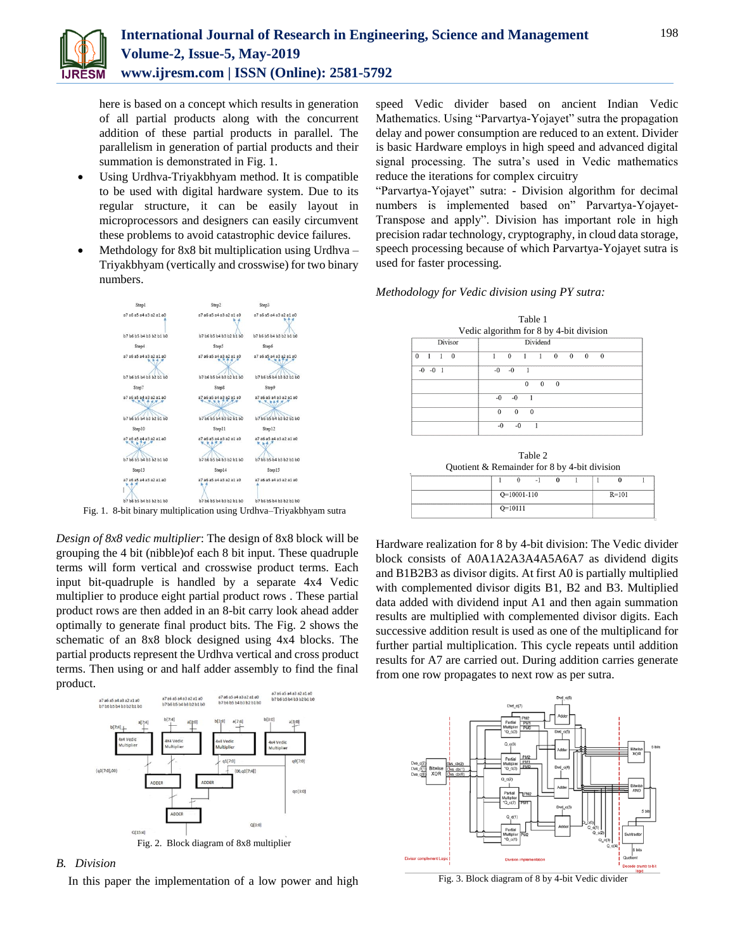

here is based on a concept which results in generation of all partial products along with the concurrent addition of these partial products in parallel. The parallelism in generation of partial products and their summation is demonstrated in Fig. 1.

- Using Urdhva-Triyakbhyam method. It is compatible to be used with digital hardware system. Due to its regular structure, it can be easily layout in microprocessors and designers can easily circumvent these problems to avoid catastrophic device failures.
- Methdology for 8x8 bit multiplication using Urdhva Triyakbhyam (vertically and crosswise) for two binary numbers.



Fig. 1. 8-bit binary multiplication using Urdhva–Triyakbhyam sutra

*Design of 8x8 vedic multiplier*: The design of 8x8 block will be grouping the 4 bit (nibble)of each 8 bit input. These quadruple terms will form vertical and crosswise product terms. Each input bit-quadruple is handled by a separate 4x4 Vedic multiplier to produce eight partial product rows . These partial product rows are then added in an 8-bit carry look ahead adder optimally to generate final product bits. The Fig. 2 shows the schematic of an 8x8 block designed using 4x4 blocks. The partial products represent the Urdhva vertical and cross product terms. Then using or and half adder assembly to find the final product.



## *B. Division*

In this paper the implementation of a low power and high

speed Vedic divider based on ancient Indian Vedic Mathematics. Using "Parvartya-Yojayet" sutra the propagation delay and power consumption are reduced to an extent. Divider is basic Hardware employs in high speed and advanced digital signal processing. The sutra's used in Vedic mathematics reduce the iterations for complex circuitry

"Parvartya-Yojayet" sutra: - Division algorithm for decimal numbers is implemented based on" Parvartya-Yojayet-Transpose and apply". Division has important role in high precision radar technology, cryptography, in cloud data storage, speech processing because of which Parvartya-Yojayet sutra is used for faster processing.

#### *Methodology for Vedic division using PY sutra:*

| Table 1<br>Vedic algorithm for 8 by 4-bit division |          |              |                |          |          |          |          |              |  |
|----------------------------------------------------|----------|--------------|----------------|----------|----------|----------|----------|--------------|--|
|                                                    |          |              |                |          |          |          |          |              |  |
| $\theta$<br>$\mathbf{0}$                           |          | $\bf{0}$     | 1              |          | $\bf{0}$ | $\bf{0}$ | $\bf{0}$ | $\mathbf{0}$ |  |
| $-0$ $-0$<br>- 1                                   | $-0$     | $-0$         | $\overline{1}$ |          |          |          |          |              |  |
|                                                    |          |              | $\Omega$       | $\theta$ | $\theta$ |          |          |              |  |
|                                                    | $-0$     | $-0$         | 1              |          |          |          |          |              |  |
|                                                    | $\bf{0}$ | $\mathbf{0}$ | $\theta$       |          |          |          |          |              |  |
|                                                    | $-0$     | $-0$         |                |          |          |          |          |              |  |

Table 2 Quotient & Remainder for 8 by 4-bit division  $\overline{0}$  $-1$  $\overline{0}$  $\overline{1}$  $\overline{0}$ 

 $O=10001-110$  $R=101$  $O=10111$ 

Hardware realization for 8 by 4-bit division: The Vedic divider block consists of A0A1A2A3A4A5A6A7 as dividend digits and B1B2B3 as divisor digits. At first A0 is partially multiplied with complemented divisor digits B1, B2 and B3. Multiplied data added with dividend input A1 and then again summation results are multiplied with complemented divisor digits. Each successive addition result is used as one of the multiplicand for further partial multiplication. This cycle repeats until addition results for A7 are carried out. During addition carries generate from one row propagates to next row as per sutra.



Fig. 3. Block diagram of 8 by 4-bit Vedic divider